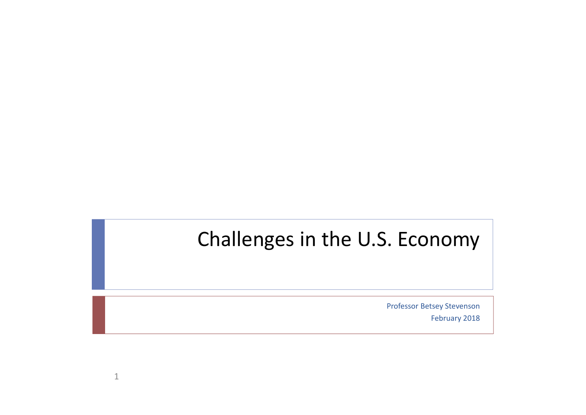## Challenges in the U.S. Economy

Professor Betsey Stevenson

February 2018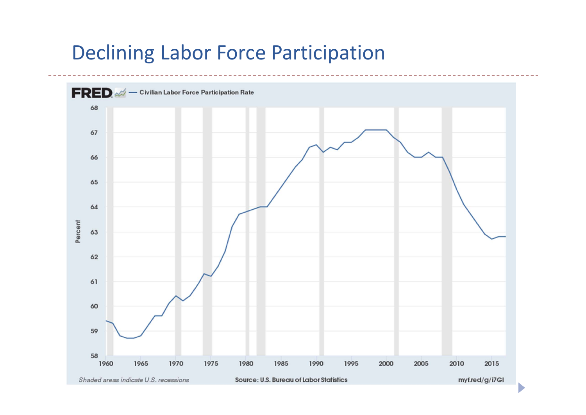#### Declining Labor Force Participation

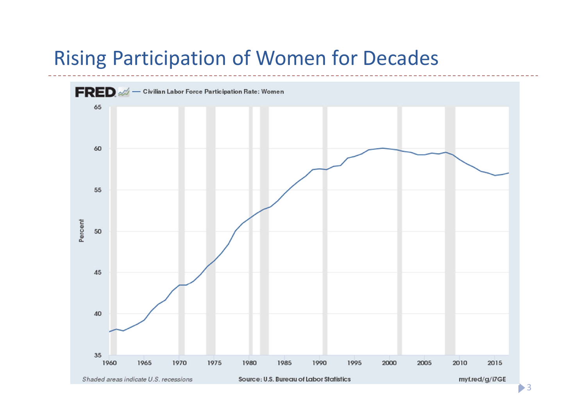### Rising Participation of Women for Decades

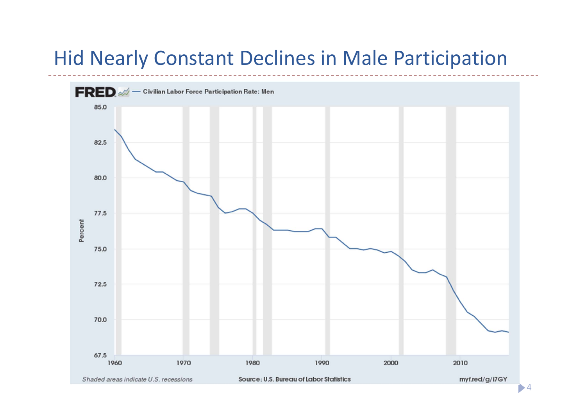### Hid Nearly Constant Declines in Male Participation

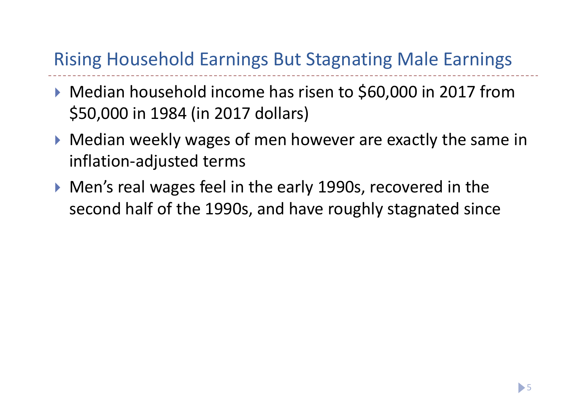#### Rising Household Earnings But Stagnating Male Earnings

- ▶ Median household income has risen to \$60,000 in 2017 from \$50,000 in 1984 (in 2017 dollars)
- Median weekly wages of men however are exactly the same in inflation‐adjusted terms
- Men's real wages feel in the early 1990s, recovered in the second half of the 1990s, and have roughly stagnated since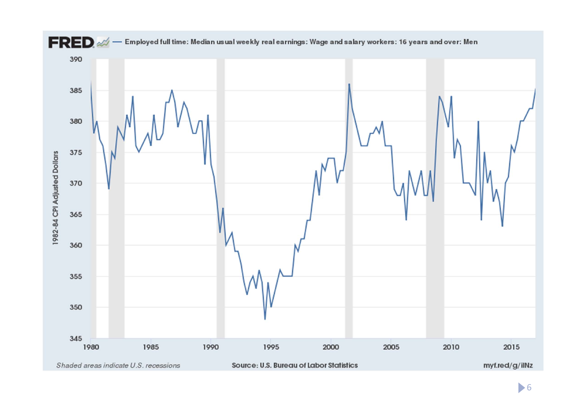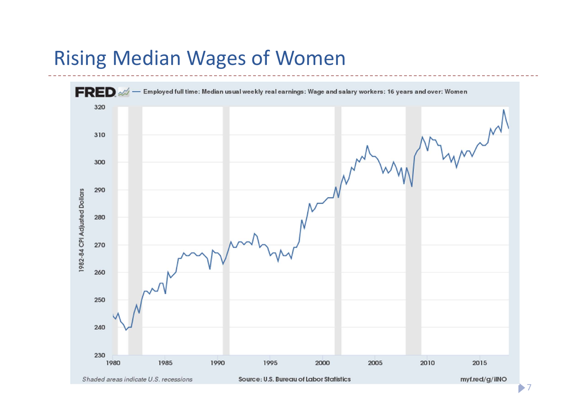### Rising Median Wages of Women

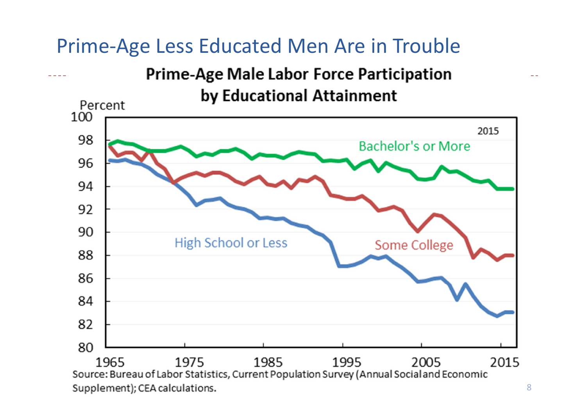## Prime‐Age Less Educated Men Are in Trouble

**Prime-Age Male Labor Force Participation** by Educational Attainment

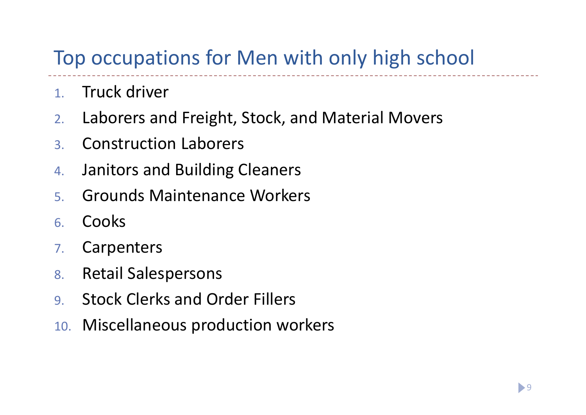# Top occupations for Men with only high school

- 1.. Truck driver
- 2.Laborers and Freight, Stock, and Material Movers
- 3.Construction Laborers
- 4.Janitors and Building Cleaners
- 5.Grounds Maintenance Workers
- 6.Cooks
- 7.**Carpenters**
- 8.Retail Salespersons
- 9.Stock Clerks and Order Fillers
- 10. Miscellaneous production workers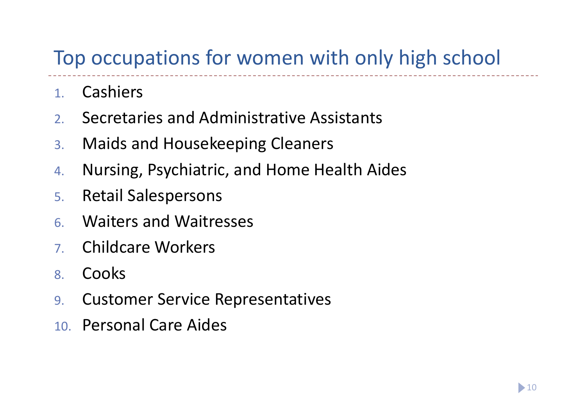## Top occupations for women with only high school

- 1.Cashiers
- 2.Secretaries and Administrative Assistants
- 3.Maids and Housekeeping Cleaners
- 4.Nursing, Psychiatric, and Home Health Aides
- 5.Retail Salespersons
- 6.Waiters and Waitresses
- 7.Childcare Workers
- 8.Cooks
- 9.Customer Service Representatives
- 10. Personal Care Aides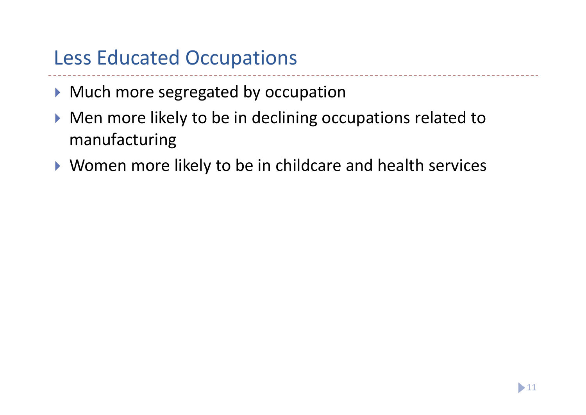## Less Educated Occupations

- **Much more segregated by occupation**
- ▶ Men more likely to be in declining occupations related to manufacturing
- ▶ Women more likely to be in childcare and health services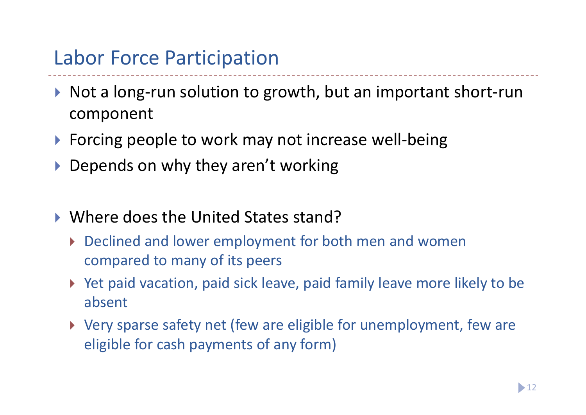### Labor Force Participation

- ▶ Not a long-run solution to growth, but an important short-run component
- ▶ Forcing people to work may not increase well-being
- ▶ Depends on why they aren't working
- ▶ Where does the United States stand?
	- Declined and lower employment for both men and women compared to many of its peers
	- ▶ Yet paid vacation, paid sick leave, paid family leave more likely to be absent
	- Very sparse safety net (few are eligible for unemployment, few are eligible for cash payments of any form)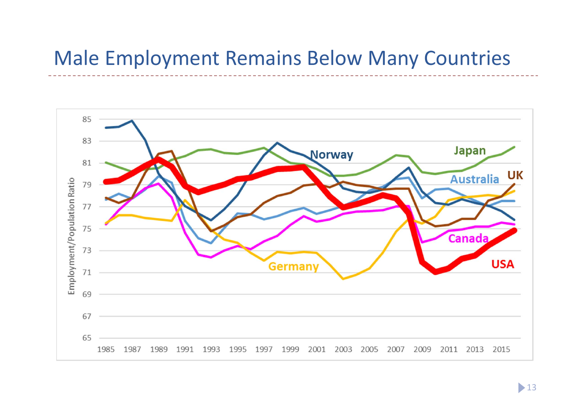#### Male Employment Remains Below Many Countries

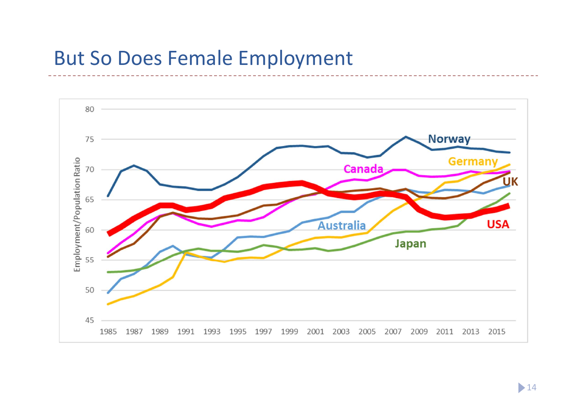#### But So Does Female Employment

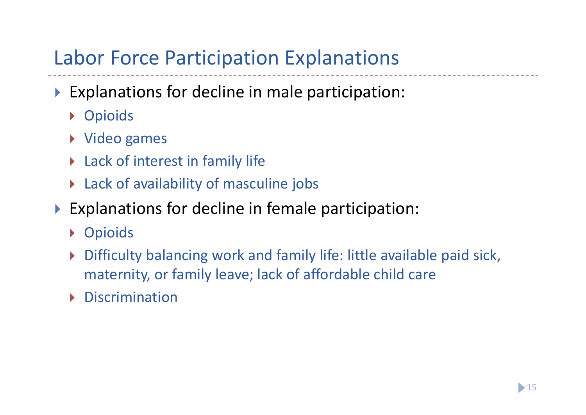# Labor Force Participation Explanations

- Explanations for decline in male participation:
	- **Dioids**
	- Video games
	- Lack of interest in family life
	- Lack of availability of masculine jobs
- Explanations for decline in female participation:
	- Opioids
	- $\blacktriangleright$  Difficulty balancing work and family life: little available paid sick, maternity, or family leave; lack of affordable child care
	- $\blacktriangleright$ Discrimination